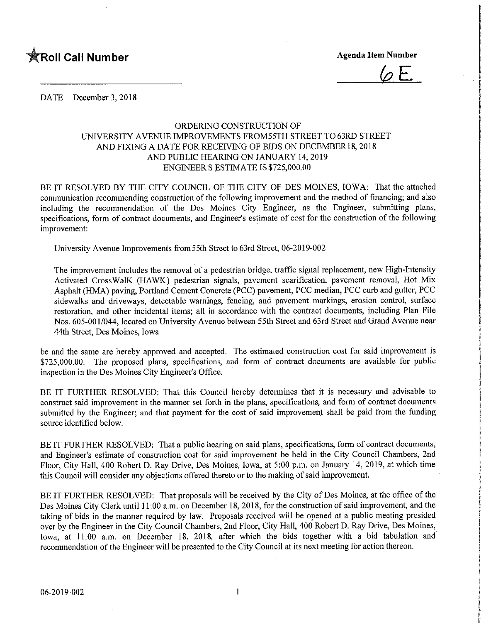

 $\sqrt{\rho}$  E

DATE December 3, 2018

## ORDERING CONSTRUCTION OF UNIVERSITY AVENUE IMPROVEMENTS FROM55TH STREET TO 63RD STREET AND FIXING A DATE FOR RECEIVING OF BIDS ON DECEMBER 18, 2018 AND PUBLIC HEARING ON JANUARY 14, 2019 ENGINEER'S ESTIMATE IS \$725,000.00

BE IT RESOLVED BY THE CITY COUNCIL OF THE CITY OF DES MOINES, IOWA: That the attached communication recommending construction of the following improvement and the method of financing; and also including the recommendation of the Des Moines City Engineer, as the Engineer, submitting plans, specifications, form of contract documents, and Engineer's estimate of cost for the construction of the following improvement:

University Avenue Improvements from55th Street to 63rd Street, 06-2019-002

The improvement includes the removal of a pedestrian bridge, traffic signal replacement, new High-Intensity Activated CrossWalK (HAWK) pedestrian signals, pavement scarification, pavement removal, Hot Mix Asphalt (HMA) paving, Portland Cement Concrete (PCC) pavement, PCC median, PCC curb and gutter, PCC sidewalks and driveways, detectable warnings, fencing, and pavement markings, erosion control, surface restoration, and other incidental items; all in accordance with the contract documents, including Plan File Nos. 605-001/044, located on University Avenue between 55th Street and 63rd Street and Grand Avenue near 44th Street, Des Moines, Iowa

be and the same are hereby approved and accepted. The estimated construction cost for said improvement is \$725,000.00. The proposed plans, specifications, and form of contract documents are available for public inspection in the Des Moines City Engineer's Office.

BE IT FURTHER RESOLVED: That this Council hereby determines that it is necessary and advisable to construct said improvement in the manner set forth in the plans, specifications, and form of contract documents submitted by the Engineer; and that payment for the cost of said improvement shall be paid from the funding source identified below.

BE IT FURTHER RESOLVED: That a public hearing on said plans, specifications, form of contract documents, and Engineer's estimate of construction cost for said improvement be held in the City Council Chambers, 2nd Floor, City Hall, 400 Robert D. Ray Drive, Des Moines, Iowa, at 5:00 p.m. on January 14, 2019, at which time this Council will consider any objections offered thereto or to the making of said improvement.

BE IT FURTHER RESOLVED: That proposals will be received by the City of Des Moines, at the office of the Des Moines City Clerk until 11:00 a.m. on December 18, 2018, for the construction of said improvement, and the taking of bids in the manner required by law. Proposals received will be opened at a public meeting presided over by the Engineer in the City Council Chambers, 2nd Floor, City Hall, 400 Robert D. Ray Drive, Des Moines, Iowa, at 11:00 a.m. on December 18, 2018,. after which the bids together with a bid tabulation and recommendation of the Engineer will be presented to the City Council at its next meeting for action thereon.

 $\mathbf{1}$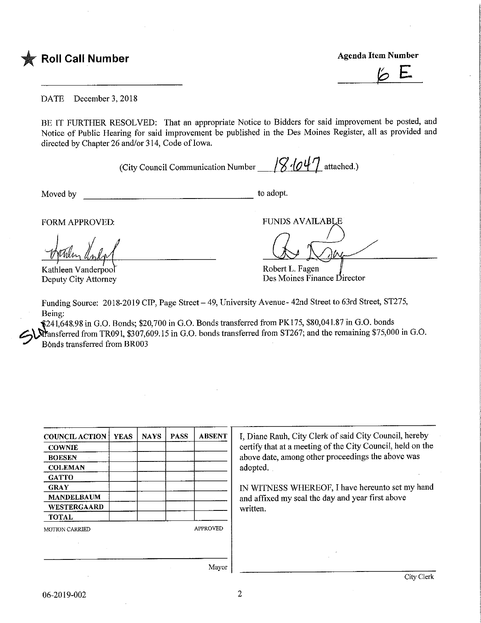

Agenda Item Number

 $\overline{6}$ 

DATE December 3,2018

BE IT FURTHER RESOLVED: That an appropriate Notice to Bidders for said improvement be posted, and Notice of Public Hearing for said improvement be published in the Des Moines Register, all as provided and directed by Chapter 26 and/or 314, Code of Iowa.

(City Council Communication Number  $\frac{1}{8}$   $\frac{1}{0}$  attached.)

Moved by to adopt.

Kathleen Vanderpool Deputy City Attorney

FORM APPROVED: THE PUNDS AVAILABLE

Robert L. Fagen

Des Moines Finance Director

Funding Source: 2018-2019 CIP, Page Street - 49, University Avenue- 42nd Street to 63rd Street, ST275, Being:

-\$241,648.98 in G.O. Bonds; \$20,700 in G.O. Bonds transferred from PK175, \$80,041.87 in G.O. bonds  $\hat{M}$ ansferred from TR091, \$307,609.15 in G.O. bonds transferred from ST267; and the remaining \$75,000 in G.O. B6nds transferred from BR003

| <b>COUNCIL ACTION</b> | <b>YEAS</b> | <b>NAYS</b> | <b>PASS</b> | <b>ABSENT</b>   |
|-----------------------|-------------|-------------|-------------|-----------------|
| <b>COWNIE</b>         |             |             |             |                 |
| <b>BOESEN</b>         |             |             |             |                 |
| <b>COLEMAN</b>        |             |             |             |                 |
| <b>GATTO</b>          |             |             |             |                 |
| <b>GRAY</b>           |             |             |             |                 |
| <b>MANDELBAUM</b>     |             |             |             |                 |
| WESTERGAARD           |             |             |             |                 |
| <b>TOTAL</b>          |             |             |             |                 |
| <b>MOTION CARRIED</b> |             |             |             | <b>APPROVED</b> |
|                       |             |             |             |                 |
|                       |             |             |             |                 |
|                       |             |             |             |                 |

I, Diane Rauh, City Clerk of said City Council, hereby certify that at a meeting of the City Council, held on the above date, among other proceedings the above was adopted.

IN WITNESS WHEREOF, I have hereunto set my hand and affixed my seal the day and year first above written.

Mayor